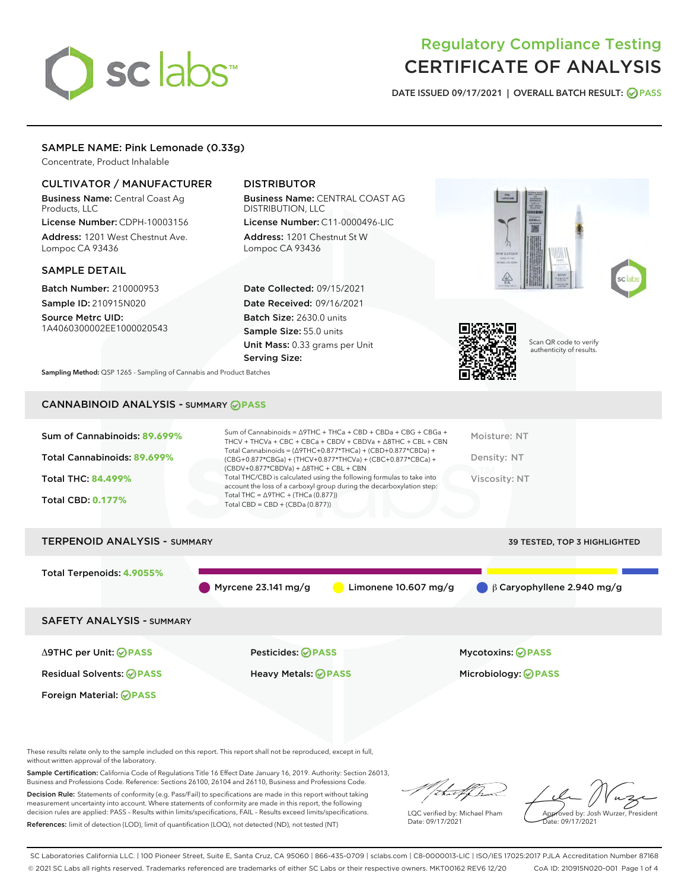# sclabs<sup>\*</sup>

## Regulatory Compliance Testing CERTIFICATE OF ANALYSIS

DATE ISSUED 09/17/2021 | OVERALL BATCH RESULT: @ PASS

#### SAMPLE NAME: Pink Lemonade (0.33g)

Concentrate, Product Inhalable

#### CULTIVATOR / MANUFACTURER

Business Name: Central Coast Ag Products, LLC

License Number: CDPH-10003156 Address: 1201 West Chestnut Ave. Lompoc CA 93436

#### SAMPLE DETAIL

Batch Number: 210000953 Sample ID: 210915N020

Source Metrc UID: 1A4060300002EE1000020543

### DISTRIBUTOR

Business Name: CENTRAL COAST AG DISTRIBUTION, LLC License Number: C11-0000496-LIC

Address: 1201 Chestnut St W Lompoc CA 93436

Date Collected: 09/15/2021 Date Received: 09/16/2021 Batch Size: 2630.0 units Sample Size: 55.0 units Unit Mass: 0.33 grams per Unit Serving Size:





Scan QR code to verify authenticity of results.

Sampling Method: QSP 1265 - Sampling of Cannabis and Product Batches

## CANNABINOID ANALYSIS - SUMMARY **PASS**

| Sum of Cannabinoids: 89.699% | Sum of Cannabinoids = $\triangle$ 9THC + THCa + CBD + CBDa + CBG + CBGa +<br>THCV + THCVa + CBC + CBCa + CBDV + CBDVa + $\Delta$ 8THC + CBL + CBN                                    | Moisture: NT  |
|------------------------------|--------------------------------------------------------------------------------------------------------------------------------------------------------------------------------------|---------------|
| Total Cannabinoids: 89.699%  | Total Cannabinoids = $(\Delta$ 9THC+0.877*THCa) + (CBD+0.877*CBDa) +<br>(CBG+0.877*CBGa) + (THCV+0.877*THCVa) + (CBC+0.877*CBCa) +<br>$(CBDV+0.877*CBDVa) + \Delta 8THC + CBL + CBN$ | Density: NT   |
| <b>Total THC: 84.499%</b>    | Total THC/CBD is calculated using the following formulas to take into<br>account the loss of a carboxyl group during the decarboxylation step:                                       | Viscosity: NT |
| <b>Total CBD: 0.177%</b>     | Total THC = $\triangle$ 9THC + (THCa (0.877))<br>Total CBD = $CBD + (CBDa (0.877))$                                                                                                  |               |
|                              |                                                                                                                                                                                      |               |

# TERPENOID ANALYSIS - SUMMARY 39 TESTED, TOP 3 HIGHLIGHTED Total Terpenoids: **4.9055%** Myrcene 23.141 mg/g **C** Limonene 10.607 mg/g β Caryophyllene 2.940 mg/g SAFETY ANALYSIS - SUMMARY Δ9THC per Unit: **PASS** Pesticides: **PASS** Mycotoxins: **PASS**

Foreign Material: **PASS**

Residual Solvents: **PASS** Heavy Metals: **PASS** Microbiology: **PASS**

These results relate only to the sample included on this report. This report shall not be reproduced, except in full, without written approval of the laboratory.

Sample Certification: California Code of Regulations Title 16 Effect Date January 16, 2019. Authority: Section 26013, Business and Professions Code. Reference: Sections 26100, 26104 and 26110, Business and Professions Code.

Decision Rule: Statements of conformity (e.g. Pass/Fail) to specifications are made in this report without taking measurement uncertainty into account. Where statements of conformity are made in this report, the following decision rules are applied: PASS – Results within limits/specifications, FAIL – Results exceed limits/specifications. References: limit of detection (LOD), limit of quantification (LOQ), not detected (ND), not tested (NT)

that f(h

LQC verified by: Michael Pham Date: 09/17/2021

Approved by: Josh Wurzer, President ate: 09/17/2021

SC Laboratories California LLC. | 100 Pioneer Street, Suite E, Santa Cruz, CA 95060 | 866-435-0709 | sclabs.com | C8-0000013-LIC | ISO/IES 17025:2017 PJLA Accreditation Number 87168 © 2021 SC Labs all rights reserved. Trademarks referenced are trademarks of either SC Labs or their respective owners. MKT00162 REV6 12/20 CoA ID: 210915N020-001 Page 1 of 4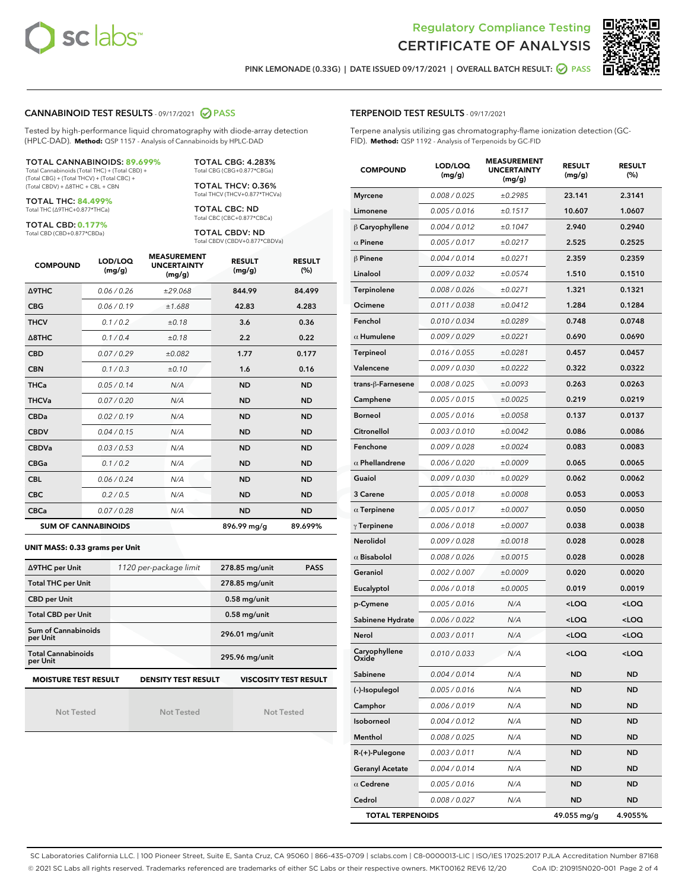



PINK LEMONADE (0.33G) | DATE ISSUED 09/17/2021 | OVERALL BATCH RESULT:  $\bigcirc$  PASS

#### CANNABINOID TEST RESULTS - 09/17/2021 2 PASS

Tested by high-performance liquid chromatography with diode-array detection (HPLC-DAD). **Method:** QSP 1157 - Analysis of Cannabinoids by HPLC-DAD

#### TOTAL CANNABINOIDS: **89.699%**

Total Cannabinoids (Total THC) + (Total CBD) + (Total CBG) + (Total THCV) + (Total CBC) + (Total CBDV) + ∆8THC + CBL + CBN

TOTAL THC: **84.499%** Total THC (∆9THC+0.877\*THCa)

TOTAL CBD: **0.177%**

Total CBD (CBD+0.877\*CBDa)

TOTAL CBG: 4.283% Total CBG (CBG+0.877\*CBGa)

TOTAL THCV: 0.36% Total THCV (THCV+0.877\*THCVa)

TOTAL CBC: ND Total CBC (CBC+0.877\*CBCa)

TOTAL CBDV: ND Total CBDV (CBDV+0.877\*CBDVa)

| <b>COMPOUND</b>  | LOD/LOQ<br>(mg/g)          | <b>MEASUREMENT</b><br><b>UNCERTAINTY</b><br>(mg/g) | <b>RESULT</b><br>(mg/g) | <b>RESULT</b><br>(%) |
|------------------|----------------------------|----------------------------------------------------|-------------------------|----------------------|
| <b>A9THC</b>     | 0.06 / 0.26                | ±29.068                                            | 844.99                  | 84.499               |
| <b>CBG</b>       | 0.06/0.19                  | ±1.688                                             | 42.83                   | 4.283                |
| <b>THCV</b>      | 0.1 / 0.2                  | ±0.18                                              | 3.6                     | 0.36                 |
| $\triangle$ 8THC | 0.1/0.4                    | ±0.18                                              | 2.2                     | 0.22                 |
| <b>CBD</b>       | 0.07/0.29                  | ±0.082                                             | 1.77                    | 0.177                |
| <b>CBN</b>       | 0.1/0.3                    | ±0.10                                              | 1.6                     | 0.16                 |
| <b>THCa</b>      | 0.05/0.14                  | N/A                                                | <b>ND</b>               | <b>ND</b>            |
| <b>THCVa</b>     | 0.07/0.20                  | N/A                                                | <b>ND</b>               | <b>ND</b>            |
| <b>CBDa</b>      | 0.02/0.19                  | N/A                                                | <b>ND</b>               | <b>ND</b>            |
| <b>CBDV</b>      | 0.04 / 0.15                | N/A                                                | <b>ND</b>               | <b>ND</b>            |
| <b>CBDVa</b>     | 0.03/0.53                  | N/A                                                | <b>ND</b>               | <b>ND</b>            |
| <b>CBGa</b>      | 0.1/0.2                    | N/A                                                | <b>ND</b>               | <b>ND</b>            |
| <b>CBL</b>       | 0.06 / 0.24                | N/A                                                | <b>ND</b>               | <b>ND</b>            |
| <b>CBC</b>       | 0.2 / 0.5                  | N/A                                                | <b>ND</b>               | <b>ND</b>            |
| <b>CBCa</b>      | 0.07 / 0.28                | N/A                                                | <b>ND</b>               | <b>ND</b>            |
|                  | <b>SUM OF CANNABINOIDS</b> |                                                    | 896.99 mg/g             | 89.699%              |

#### **UNIT MASS: 0.33 grams per Unit**

| ∆9THC per Unit                        | 1120 per-package limit     | 278.85 mg/unit<br><b>PASS</b> |
|---------------------------------------|----------------------------|-------------------------------|
| <b>Total THC per Unit</b>             |                            | 278.85 mg/unit                |
| <b>CBD per Unit</b>                   |                            | $0.58$ mg/unit                |
| <b>Total CBD per Unit</b>             |                            | $0.58$ mg/unit                |
| Sum of Cannabinoids<br>per Unit       |                            | 296.01 mg/unit                |
| <b>Total Cannabinoids</b><br>per Unit |                            | 295.96 mg/unit                |
| <b>MOISTURE TEST RESULT</b>           | <b>DENSITY TEST RESULT</b> | <b>VISCOSITY TEST RESULT</b>  |

Not Tested

Not Tested

Not Tested

Terpene analysis utilizing gas chromatography-flame ionization detection (GC-FID). **Method:** QSP 1192 - Analysis of Terpenoids by GC-FID

| <b>COMPOUND</b>         | LOD/LOQ<br>(mg/g) | <b>MEASUREMENT</b><br><b>UNCERTAINTY</b><br>(mg/g) | <b>RESULT</b><br>(mg/g)                         | <b>RESULT</b><br>$(\%)$ |
|-------------------------|-------------------|----------------------------------------------------|-------------------------------------------------|-------------------------|
| <b>Myrcene</b>          | 0.008 / 0.025     | ±0.2985                                            | 23.141                                          | 2.3141                  |
| Limonene                | 0.005 / 0.016     | ±0.1517                                            | 10.607                                          | 1.0607                  |
| $\upbeta$ Caryophyllene | 0.004 / 0.012     | ±0.1047                                            | 2.940                                           | 0.2940                  |
| $\alpha$ Pinene         | 0.005 / 0.017     | ±0.0217                                            | 2.525                                           | 0.2525                  |
| $\beta$ Pinene          | 0.004 / 0.014     | ±0.0271                                            | 2.359                                           | 0.2359                  |
| Linalool                | 0.009 / 0.032     | ±0.0574                                            | 1.510                                           | 0.1510                  |
| Terpinolene             | 0.008 / 0.026     | ±0.0271                                            | 1.321                                           | 0.1321                  |
| Ocimene                 | 0.011 / 0.038     | ±0.0412                                            | 1.284                                           | 0.1284                  |
| Fenchol                 | 0.010 / 0.034     | ±0.0289                                            | 0.748                                           | 0.0748                  |
| $\alpha$ Humulene       | 0.009/0.029       | ±0.0221                                            | 0.690                                           | 0.0690                  |
| Terpineol               | 0.016 / 0.055     | ±0.0281                                            | 0.457                                           | 0.0457                  |
| Valencene               | 0.009 / 0.030     | ±0.0222                                            | 0.322                                           | 0.0322                  |
| trans-ß-Farnesene       | 0.008 / 0.025     | ±0.0093                                            | 0.263                                           | 0.0263                  |
| Camphene                | 0.005 / 0.015     | ±0.0025                                            | 0.219                                           | 0.0219                  |
| <b>Borneol</b>          | 0.005 / 0.016     | ±0.0058                                            | 0.137                                           | 0.0137                  |
| Citronellol             | 0.003 / 0.010     | ±0.0042                                            | 0.086                                           | 0.0086                  |
| Fenchone                | 0.009 / 0.028     | ±0.0024                                            | 0.083                                           | 0.0083                  |
| $\alpha$ Phellandrene   | 0.006 / 0.020     | ±0.0009                                            | 0.065                                           | 0.0065                  |
| Guaiol                  | 0.009 / 0.030     | ±0.0029                                            | 0.062                                           | 0.0062                  |
| 3 Carene                | 0.005 / 0.018     | ±0.0008                                            | 0.053                                           | 0.0053                  |
| $\alpha$ Terpinene      | 0.005 / 0.017     | ±0.0007                                            | 0.050                                           | 0.0050                  |
| $\gamma$ Terpinene      | 0.006 / 0.018     | ±0.0007                                            | 0.038                                           | 0.0038                  |
| Nerolidol               | 0.009 / 0.028     | ±0.0018                                            | 0.028                                           | 0.0028                  |
| $\alpha$ Bisabolol      | 0.008 / 0.026     | ±0.0015                                            | 0.028                                           | 0.0028                  |
| Geraniol                | 0.002 / 0.007     | ±0.0009                                            | 0.020                                           | 0.0020                  |
| Eucalyptol              | 0.006 / 0.018     | ±0.0005                                            | 0.019                                           | 0.0019                  |
| p-Cymene                | 0.005 / 0.016     | N/A                                                | <loq< th=""><th><loq< th=""></loq<></th></loq<> | <loq< th=""></loq<>     |
| Sabinene Hydrate        | 0.006 / 0.022     | N/A                                                | <loq< th=""><th><loq< th=""></loq<></th></loq<> | <loq< th=""></loq<>     |
| Nerol                   | 0.003 / 0.011     | N/A                                                | <loq< th=""><th><loq< th=""></loq<></th></loq<> | <loq< th=""></loq<>     |
| Caryophyllene<br>Oxide  | 0.010 / 0.033     | N/A                                                | <loq< th=""><th><loq< th=""></loq<></th></loq<> | <loq< th=""></loq<>     |
| Sabinene                | 0.004 / 0.014     | N/A                                                | ND                                              | ND                      |
| (-)-Isopulegol          | 0.005 / 0.016     | N/A                                                | <b>ND</b>                                       | ND                      |
| Camphor                 | 0.006 / 0.019     | N/A                                                | ND                                              | <b>ND</b>               |
| Isoborneol              | 0.004 / 0.012     | N/A                                                | ND                                              | <b>ND</b>               |
| Menthol                 | 0.008 / 0.025     | N/A                                                | ND                                              | ND                      |
| R-(+)-Pulegone          | 0.003 / 0.011     | N/A                                                | ND                                              | ND                      |
| <b>Geranyl Acetate</b>  | 0.004 / 0.014     | N/A                                                | ND                                              | <b>ND</b>               |
| $\alpha$ Cedrene        | 0.005 / 0.016     | N/A                                                | ND                                              | ND                      |
| Cedrol                  | 0.008 / 0.027     | N/A                                                | <b>ND</b>                                       | <b>ND</b>               |
| <b>TOTAL TERPENOIDS</b> |                   |                                                    | 49.055 mg/g                                     | 4.9055%                 |

SC Laboratories California LLC. | 100 Pioneer Street, Suite E, Santa Cruz, CA 95060 | 866-435-0709 | sclabs.com | C8-0000013-LIC | ISO/IES 17025:2017 PJLA Accreditation Number 87168 © 2021 SC Labs all rights reserved. Trademarks referenced are trademarks of either SC Labs or their respective owners. MKT00162 REV6 12/20 CoA ID: 210915N020-001 Page 2 of 4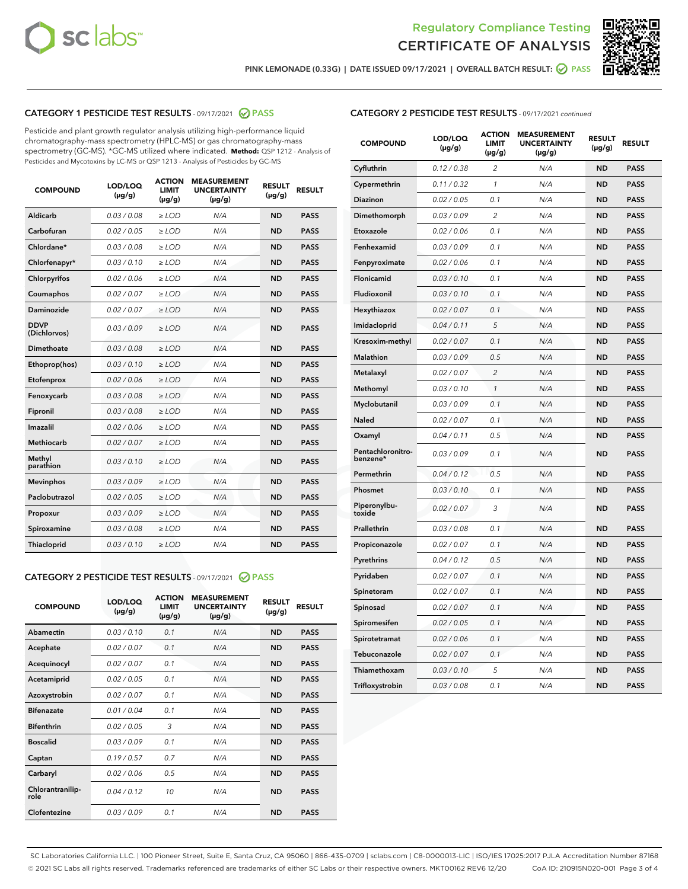



PINK LEMONADE (0.33G) | DATE ISSUED 09/17/2021 | OVERALL BATCH RESULT: <mark>⊘</mark> PASS

#### CATEGORY 1 PESTICIDE TEST RESULTS - 09/17/2021 @ PASS

Pesticide and plant growth regulator analysis utilizing high-performance liquid chromatography-mass spectrometry (HPLC-MS) or gas chromatography-mass spectrometry (GC-MS). \*GC-MS utilized where indicated. **Method:** QSP 1212 - Analysis of Pesticides and Mycotoxins by LC-MS or QSP 1213 - Analysis of Pesticides by GC-MS

| <b>COMPOUND</b>             | LOD/LOQ<br>$(\mu g/g)$ | <b>ACTION</b><br><b>LIMIT</b><br>$(\mu g/g)$ | <b>MEASUREMENT</b><br><b>UNCERTAINTY</b><br>$(\mu g/g)$ | <b>RESULT</b><br>$(\mu g/g)$ | <b>RESULT</b> |
|-----------------------------|------------------------|----------------------------------------------|---------------------------------------------------------|------------------------------|---------------|
| Aldicarb                    | 0.03 / 0.08            | $\ge$ LOD                                    | N/A                                                     | <b>ND</b>                    | <b>PASS</b>   |
| Carbofuran                  | 0.02/0.05              | $>$ LOD                                      | N/A                                                     | <b>ND</b>                    | <b>PASS</b>   |
| Chlordane*                  | 0.03 / 0.08            | $\ge$ LOD                                    | N/A                                                     | <b>ND</b>                    | <b>PASS</b>   |
| Chlorfenapyr*               | 0.03/0.10              | $\ge$ LOD                                    | N/A                                                     | <b>ND</b>                    | <b>PASS</b>   |
| Chlorpyrifos                | 0.02 / 0.06            | $\ge$ LOD                                    | N/A                                                     | <b>ND</b>                    | <b>PASS</b>   |
| Coumaphos                   | 0.02/0.07              | $>$ LOD                                      | N/A                                                     | <b>ND</b>                    | <b>PASS</b>   |
| <b>Daminozide</b>           | 0.02 / 0.07            | $\ge$ LOD                                    | N/A                                                     | <b>ND</b>                    | <b>PASS</b>   |
| <b>DDVP</b><br>(Dichlorvos) | 0.03/0.09              | $\ge$ LOD                                    | N/A                                                     | <b>ND</b>                    | <b>PASS</b>   |
| <b>Dimethoate</b>           | 0.03 / 0.08            | $\ge$ LOD                                    | N/A                                                     | <b>ND</b>                    | <b>PASS</b>   |
| Ethoprop(hos)               | 0.03/0.10              | $\ge$ LOD                                    | N/A                                                     | <b>ND</b>                    | <b>PASS</b>   |
| Etofenprox                  | 0.02 / 0.06            | $\ge$ LOD                                    | N/A                                                     | <b>ND</b>                    | <b>PASS</b>   |
| Fenoxycarb                  | 0.03 / 0.08            | $\ge$ LOD                                    | N/A                                                     | <b>ND</b>                    | <b>PASS</b>   |
| Fipronil                    | 0.03/0.08              | $>$ LOD                                      | N/A                                                     | <b>ND</b>                    | <b>PASS</b>   |
| Imazalil                    | 0.02 / 0.06            | $\ge$ LOD                                    | N/A                                                     | <b>ND</b>                    | <b>PASS</b>   |
| Methiocarb                  | 0.02 / 0.07            | $\ge$ LOD                                    | N/A                                                     | <b>ND</b>                    | <b>PASS</b>   |
| Methyl<br>parathion         | 0.03/0.10              | $>$ LOD                                      | N/A                                                     | <b>ND</b>                    | <b>PASS</b>   |
| <b>Mevinphos</b>            | 0.03/0.09              | $>$ LOD                                      | N/A                                                     | <b>ND</b>                    | <b>PASS</b>   |
| Paclobutrazol               | 0.02 / 0.05            | $\ge$ LOD                                    | N/A                                                     | <b>ND</b>                    | <b>PASS</b>   |
| Propoxur                    | 0.03/0.09              | $>$ LOD                                      | N/A                                                     | <b>ND</b>                    | <b>PASS</b>   |
| Spiroxamine                 | 0.03 / 0.08            | $\ge$ LOD                                    | N/A                                                     | <b>ND</b>                    | <b>PASS</b>   |
| Thiacloprid                 | 0.03/0.10              | $\ge$ LOD                                    | N/A                                                     | <b>ND</b>                    | <b>PASS</b>   |

#### CATEGORY 2 PESTICIDE TEST RESULTS - 09/17/2021 @ PASS

| <b>COMPOUND</b>          | LOD/LOO<br>$(\mu g/g)$ | <b>ACTION</b><br>LIMIT<br>$(\mu g/g)$ | <b>MEASUREMENT</b><br><b>UNCERTAINTY</b><br>$(\mu g/g)$ | <b>RESULT</b><br>$(\mu g/g)$ | <b>RESULT</b> |
|--------------------------|------------------------|---------------------------------------|---------------------------------------------------------|------------------------------|---------------|
| Abamectin                | 0.03/0.10              | 0.1                                   | N/A                                                     | <b>ND</b>                    | <b>PASS</b>   |
| Acephate                 | 0.02/0.07              | 0.1                                   | N/A                                                     | <b>ND</b>                    | <b>PASS</b>   |
| Acequinocyl              | 0.02/0.07              | 0.1                                   | N/A                                                     | <b>ND</b>                    | <b>PASS</b>   |
| Acetamiprid              | 0.02/0.05              | 0.1                                   | N/A                                                     | <b>ND</b>                    | <b>PASS</b>   |
| Azoxystrobin             | 0.02/0.07              | 0.1                                   | N/A                                                     | <b>ND</b>                    | <b>PASS</b>   |
| <b>Bifenazate</b>        | 0.01 / 0.04            | 0.1                                   | N/A                                                     | <b>ND</b>                    | <b>PASS</b>   |
| <b>Bifenthrin</b>        | 0.02 / 0.05            | 3                                     | N/A                                                     | <b>ND</b>                    | <b>PASS</b>   |
| <b>Boscalid</b>          | 0.03/0.09              | 0.1                                   | N/A                                                     | <b>ND</b>                    | <b>PASS</b>   |
| Captan                   | 0.19/0.57              | 0.7                                   | N/A                                                     | <b>ND</b>                    | <b>PASS</b>   |
| Carbaryl                 | 0.02/0.06              | 0.5                                   | N/A                                                     | <b>ND</b>                    | <b>PASS</b>   |
| Chlorantranilip-<br>role | 0.04/0.12              | 10                                    | N/A                                                     | <b>ND</b>                    | <b>PASS</b>   |
| Clofentezine             | 0.03/0.09              | 0.1                                   | N/A                                                     | <b>ND</b>                    | <b>PASS</b>   |

#### CATEGORY 2 PESTICIDE TEST RESULTS - 09/17/2021 continued

| <b>COMPOUND</b>               | LOD/LOQ<br>(µg/g) | <b>ACTION</b><br><b>LIMIT</b><br>$(\mu g/g)$ | <b>MEASUREMENT</b><br><b>UNCERTAINTY</b><br>$(\mu g/g)$ | <b>RESULT</b><br>(µg/g) | <b>RESULT</b> |
|-------------------------------|-------------------|----------------------------------------------|---------------------------------------------------------|-------------------------|---------------|
| Cyfluthrin                    | 0.12 / 0.38       | $\overline{c}$                               | N/A                                                     | ND                      | <b>PASS</b>   |
| Cypermethrin                  | 0.11 / 0.32       | $\mathcal{I}$                                | N/A                                                     | ND                      | <b>PASS</b>   |
| <b>Diazinon</b>               | 0.02 / 0.05       | 0.1                                          | N/A                                                     | <b>ND</b>               | <b>PASS</b>   |
| Dimethomorph                  | 0.03 / 0.09       | 2                                            | N/A                                                     | ND                      | <b>PASS</b>   |
| Etoxazole                     | 0.02 / 0.06       | 0.1                                          | N/A                                                     | ND                      | <b>PASS</b>   |
| Fenhexamid                    | 0.03 / 0.09       | 0.1                                          | N/A                                                     | ND                      | <b>PASS</b>   |
| Fenpyroximate                 | 0.02 / 0.06       | 0.1                                          | N/A                                                     | <b>ND</b>               | <b>PASS</b>   |
| Flonicamid                    | 0.03 / 0.10       | 0.1                                          | N/A                                                     | ND                      | <b>PASS</b>   |
| Fludioxonil                   | 0.03 / 0.10       | 0.1                                          | N/A                                                     | ND                      | <b>PASS</b>   |
| Hexythiazox                   | 0.02 / 0.07       | 0.1                                          | N/A                                                     | ND                      | <b>PASS</b>   |
| Imidacloprid                  | 0.04 / 0.11       | 5                                            | N/A                                                     | ND                      | <b>PASS</b>   |
| Kresoxim-methyl               | 0.02 / 0.07       | 0.1                                          | N/A                                                     | ND                      | <b>PASS</b>   |
| Malathion                     | 0.03 / 0.09       | 0.5                                          | N/A                                                     | <b>ND</b>               | <b>PASS</b>   |
| Metalaxyl                     | 0.02 / 0.07       | $\overline{c}$                               | N/A                                                     | ND                      | <b>PASS</b>   |
| Methomyl                      | 0.03 / 0.10       | 1                                            | N/A                                                     | ND                      | <b>PASS</b>   |
| Myclobutanil                  | 0.03 / 0.09       | 0.1                                          | N/A                                                     | <b>ND</b>               | <b>PASS</b>   |
| Naled                         | 0.02 / 0.07       | 0.1                                          | N/A                                                     | ND                      | <b>PASS</b>   |
| Oxamyl                        | 0.04 / 0.11       | 0.5                                          | N/A                                                     | ND                      | <b>PASS</b>   |
| Pentachloronitro-<br>benzene* | 0.03 / 0.09       | 0.1                                          | N/A                                                     | ND                      | <b>PASS</b>   |
| Permethrin                    | 0.04 / 0.12       | 0.5                                          | N/A                                                     | ND                      | <b>PASS</b>   |
| Phosmet                       | 0.03 / 0.10       | 0.1                                          | N/A                                                     | ND                      | <b>PASS</b>   |
| Piperonylbu-<br>toxide        | 0.02 / 0.07       | 3                                            | N/A                                                     | ND                      | <b>PASS</b>   |
| Prallethrin                   | 0.03 / 0.08       | 0.1                                          | N/A                                                     | ND                      | <b>PASS</b>   |
| Propiconazole                 | 0.02 / 0.07       | 0.1                                          | N/A                                                     | ND                      | <b>PASS</b>   |
| Pyrethrins                    | 0.04 / 0.12       | 0.5                                          | N/A                                                     | ND                      | <b>PASS</b>   |
| Pyridaben                     | 0.02 / 0.07       | 0.1                                          | N/A                                                     | <b>ND</b>               | <b>PASS</b>   |
| Spinetoram                    | 0.02 / 0.07       | 0.1                                          | N/A                                                     | ND                      | <b>PASS</b>   |
| Spinosad                      | 0.02 / 0.07       | 0.1                                          | N/A                                                     | ND                      | <b>PASS</b>   |
| Spiromesifen                  | 0.02 / 0.05       | 0.1                                          | N/A                                                     | <b>ND</b>               | <b>PASS</b>   |
| Spirotetramat                 | 0.02 / 0.06       | 0.1                                          | N/A                                                     | ND                      | <b>PASS</b>   |
| Tebuconazole                  | 0.02 / 0.07       | 0.1                                          | N/A                                                     | ND                      | <b>PASS</b>   |
| Thiamethoxam                  | 0.03 / 0.10       | 5                                            | N/A                                                     | <b>ND</b>               | <b>PASS</b>   |
| Trifloxystrobin               | 0.03 / 0.08       | 0.1                                          | N/A                                                     | <b>ND</b>               | <b>PASS</b>   |

SC Laboratories California LLC. | 100 Pioneer Street, Suite E, Santa Cruz, CA 95060 | 866-435-0709 | sclabs.com | C8-0000013-LIC | ISO/IES 17025:2017 PJLA Accreditation Number 87168 © 2021 SC Labs all rights reserved. Trademarks referenced are trademarks of either SC Labs or their respective owners. MKT00162 REV6 12/20 CoA ID: 210915N020-001 Page 3 of 4